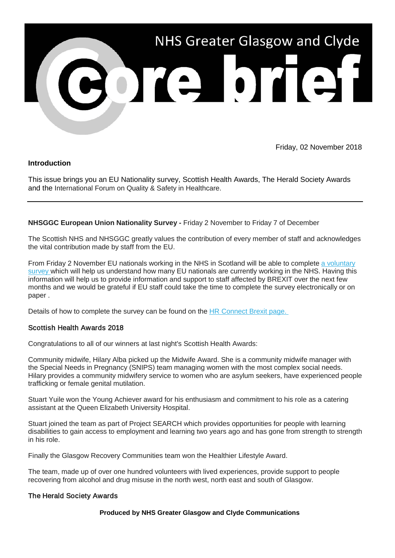

Friday, 02 November 2018

# **Introduction**

This issue brings you an EU Nationality survey, Scottish Health Awards, The Herald Society Awards and the International Forum on Quality & Safety in Healthcare.

# **NHSGGC European Union Nationality Survey -** Friday 2 November to Friday 7 of December

The Scottish NHS and NHSGGC greatly values the contribution of every member of staff and acknowledges the vital contribution made by staff from the EU.

From Friday 2 November EU nationals working in the NHS in Scotland will be able to complete a voluntary [survey w](https://link.webropolsurveys.com/Participation/Public/ae454c77-6282-4e93-8569-f0ce73f06836?displayId=Uni1619229&utm_source=Core%20Brief&utm_medium=email&utm_campaign=Core_Brief_brexit_survey)hich will help us understand how many EU nationals are currently working in the NHS. Having this information will help us to provide information and support to staff affected by BREXIT over the next few months and we would be grateful if EU staff could take the time to complete the survey electronically or on paper .

Details of how to complete the survey can be found on the [HR Connect Brexit page.](http://www.nhsggc.org.uk/working-with-us/hr-connect/brexit-information-for-managers-staff/?utm_source=Core%20Brief&utm_medium=email&utm_campaign=Core_Brief_brexit)

## Scottish Health Awards 2018

Congratulations to all of our winners at last night's Scottish Health Awards:

Community midwife, Hilary Alba picked up the Midwife Award. She is a community midwife manager with the Special Needs in Pregnancy (SNIPS) team managing women with the most complex social needs. Hilary provides a community midwifery service to women who are asylum seekers, have experienced people trafficking or female genital mutilation.

Stuart Yuile won the Young Achiever award for his enthusiasm and commitment to his role as a catering assistant at the Queen Elizabeth University Hospital.

Stuart joined the team as part of Project SEARCH which provides opportunities for people with learning disabilities to gain access to employment and learning two years ago and has gone from strength to strength in his role.

Finally the Glasgow Recovery Communities team won the Healthier Lifestyle Award.

The team, made up of over one hundred volunteers with lived experiences, provide support to people recovering from alcohol and drug misuse in the north west, north east and south of Glasgow.

## The Herald Society Awards

## **Produced by NHS Greater Glasgow and Clyde Communications**